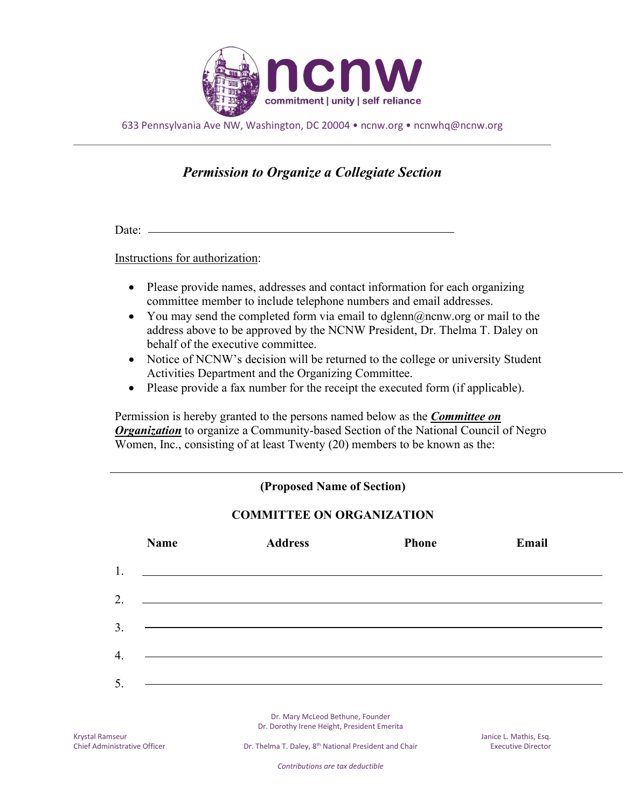

633 Pennsylvania Ave NW, Washington, DC 20004 • ncnw.org • ncnwhq@ncnw.org

## *Permission to Organize a Collegiate Section*

Date:

Instructions for authorization:

- Please provide names, addresses and contact information for each organizing committee member to include telephone numbers and email addresses.
- You may send the completed form via email to dglenn@ncnw.org or mail to the address above to be approved by the NCNW President, Dr. Thelma T. Daley on behalf of the executive committee.
- Notice of NCNW's decision will be returned to the college or university Student Activities Department and the Organizing Committee.
- Please provide a fax number for the receipt the executed form (if applicable).

Permission is hereby granted to the persons named below as the *Committee on Organization* to organize a Community-based Section of the National Council of Negro Women, Inc., consisting of at least Twenty (20) members to be known as the:



Dr. Mary McLeod Bethune, Founder Dr. Dorothy Irene Height, President Emerita

*Contributions are tax deductible*